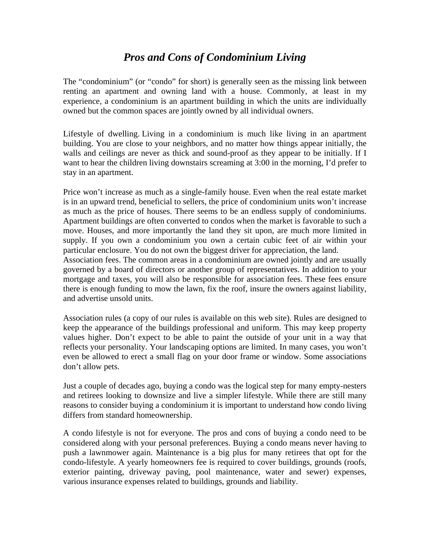## *Pros and Cons of Condominium Living*

The "condominium" (or "condo" for short) is generally seen as the missing link between renting an apartment and owning land with a house. Commonly, at least in my experience, a condominium is an apartment building in which the units are individually owned but the common spaces are jointly owned by all individual owners.

Lifestyle of dwelling. Living in a condominium is much like living in an apartment building. You are close to your neighbors, and no matter how things appear initially, the walls and ceilings are never as thick and sound-proof as they appear to be initially. If I want to hear the children living downstairs screaming at 3:00 in the morning, I'd prefer to stay in an apartment.

Price won't increase as much as a single-family house. Even when the real estate market is in an upward trend, beneficial to sellers, the price of condominium units won't increase as much as the price of houses. There seems to be an endless supply of condominiums. Apartment buildings are often converted to condos when the market is favorable to such a move. Houses, and more importantly the land they sit upon, are much more limited in supply. If you own a condominium you own a certain cubic feet of air within your particular enclosure. You do not own the biggest driver for appreciation, the land.

Association fees. The common areas in a condominium are owned jointly and are usually governed by a board of directors or another group of representatives. In addition to your mortgage and taxes, you will also be responsible for association fees. These fees ensure there is enough funding to mow the lawn, fix the roof, insure the owners against liability, and advertise unsold units.

Association rules (a copy of our rules is available on this web site). Rules are designed to keep the appearance of the buildings professional and uniform. This may keep property values higher. Don't expect to be able to paint the outside of your unit in a way that reflects your personality. Your landscaping options are limited. In many cases, you won't even be allowed to erect a small flag on your door frame or window. Some associations don't allow pets.

Just a couple of decades ago, buying a condo was the logical step for many empty-nesters and retirees looking to downsize and live a simpler lifestyle. While there are still many reasons to consider buying a condominium it is important to understand how condo living differs from standard homeownership.

A condo lifestyle is not for everyone. The pros and cons of buying a condo need to be considered along with your personal preferences. Buying a condo means never having to push a lawnmower again. Maintenance is a big plus for many retirees that opt for the condo-lifestyle. A yearly homeowners fee is required to cover buildings, grounds (roofs, exterior painting, driveway paving, pool maintenance, water and sewer) expenses, various insurance expenses related to buildings, grounds and liability.